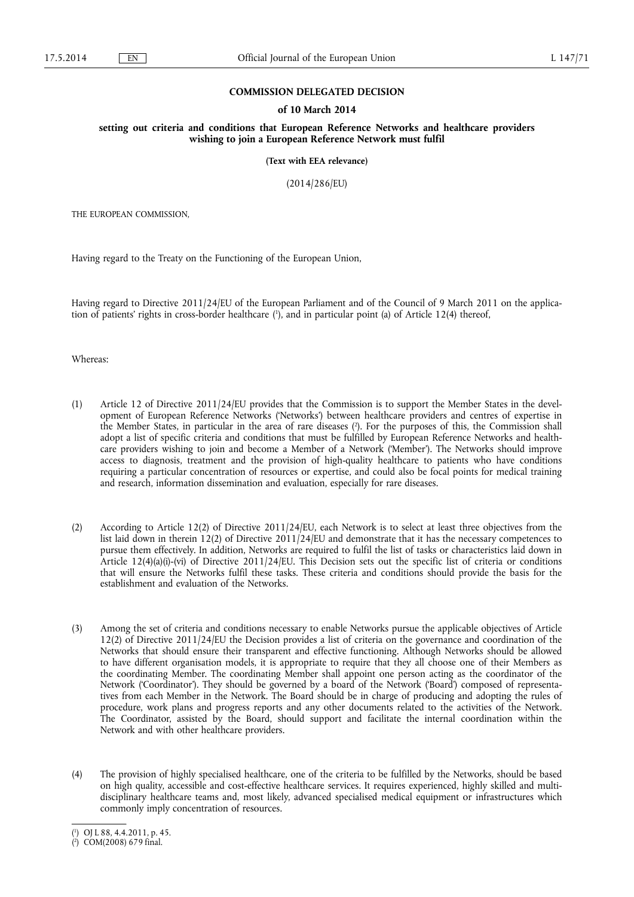### **COMMISSION DELEGATED DECISION**

### **of 10 March 2014**

**setting out criteria and conditions that European Reference Networks and healthcare providers wishing to join a European Reference Network must fulfil** 

**(Text with EEA relevance)** 

(2014/286/EU)

THE EUROPEAN COMMISSION,

Having regard to the Treaty on the Functioning of the European Union,

Having regard to Directive 2011/24/EU of the European Parliament and of the Council of 9 March 2011 on the application of patients' rights in cross-border healthcare ( 1 ), and in particular point (a) of Article 12(4) thereof,

Whereas:

- (1) Article 12 of Directive 2011/24/EU provides that the Commission is to support the Member States in the development of European Reference Networks ('Networks') between healthcare providers and centres of expertise in the Member States, in particular in the area of rare diseases ( 2 ). For the purposes of this, the Commission shall adopt a list of specific criteria and conditions that must be fulfilled by European Reference Networks and healthcare providers wishing to join and become a Member of a Network ('Member'). The Networks should improve access to diagnosis, treatment and the provision of high-quality healthcare to patients who have conditions requiring a particular concentration of resources or expertise, and could also be focal points for medical training and research, information dissemination and evaluation, especially for rare diseases.
- (2) According to Article 12(2) of Directive 2011/24/EU, each Network is to select at least three objectives from the list laid down in therein 12(2) of Directive 2011/24/EU and demonstrate that it has the necessary competences to pursue them effectively. In addition, Networks are required to fulfil the list of tasks or characteristics laid down in Article 12(4)(a)(i)-(vi) of Directive 2011/24/EU. This Decision sets out the specific list of criteria or conditions that will ensure the Networks fulfil these tasks. These criteria and conditions should provide the basis for the establishment and evaluation of the Networks.
- (3) Among the set of criteria and conditions necessary to enable Networks pursue the applicable objectives of Article 12(2) of Directive 2011/24/EU the Decision provides a list of criteria on the governance and coordination of the Networks that should ensure their transparent and effective functioning. Although Networks should be allowed to have different organisation models, it is appropriate to require that they all choose one of their Members as the coordinating Member. The coordinating Member shall appoint one person acting as the coordinator of the Network ('Coordinator'). They should be governed by a board of the Network ('Board') composed of representatives from each Member in the Network. The Board should be in charge of producing and adopting the rules of procedure, work plans and progress reports and any other documents related to the activities of the Network. The Coordinator, assisted by the Board, should support and facilitate the internal coordination within the Network and with other healthcare providers.
- (4) The provision of highly specialised healthcare, one of the criteria to be fulfilled by the Networks, should be based on high quality, accessible and cost-effective healthcare services. It requires experienced, highly skilled and multidisciplinary healthcare teams and, most likely, advanced specialised medical equipment or infrastructures which commonly imply concentration of resources.

<sup>(</sup> 1 ) OJ L 88, 4.4.2011, p. 45.

<sup>(</sup> 2 ) COM(2008) 679 final.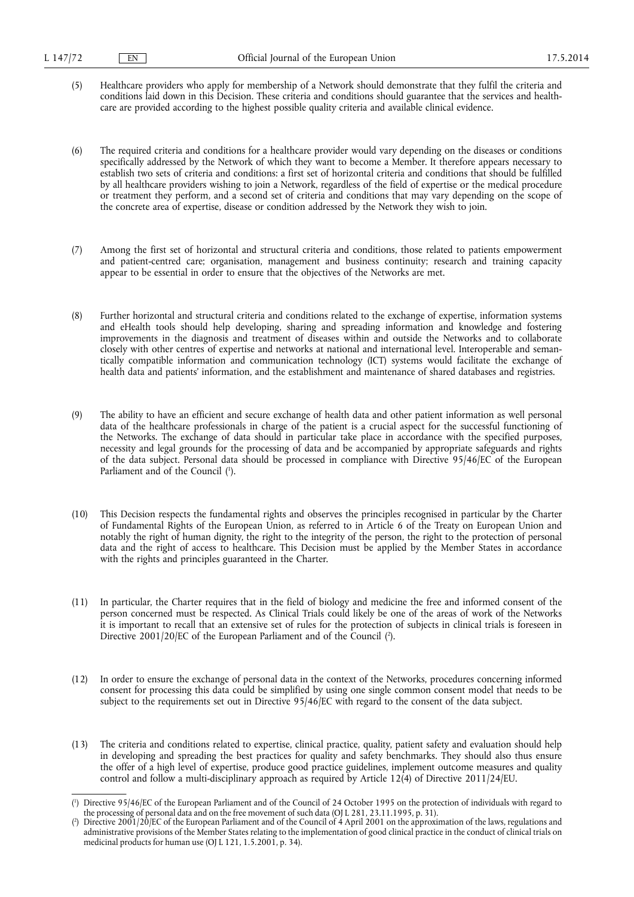- (5) Healthcare providers who apply for membership of a Network should demonstrate that they fulfil the criteria and conditions laid down in this Decision. These criteria and conditions should guarantee that the services and healthcare are provided according to the highest possible quality criteria and available clinical evidence.
- (6) The required criteria and conditions for a healthcare provider would vary depending on the diseases or conditions specifically addressed by the Network of which they want to become a Member. It therefore appears necessary to establish two sets of criteria and conditions: a first set of horizontal criteria and conditions that should be fulfilled by all healthcare providers wishing to join a Network, regardless of the field of expertise or the medical procedure or treatment they perform, and a second set of criteria and conditions that may vary depending on the scope of the concrete area of expertise, disease or condition addressed by the Network they wish to join.
- (7) Among the first set of horizontal and structural criteria and conditions, those related to patients empowerment and patient-centred care; organisation, management and business continuity; research and training capacity appear to be essential in order to ensure that the objectives of the Networks are met.
- (8) Further horizontal and structural criteria and conditions related to the exchange of expertise, information systems and eHealth tools should help developing, sharing and spreading information and knowledge and fostering improvements in the diagnosis and treatment of diseases within and outside the Networks and to collaborate closely with other centres of expertise and networks at national and international level. Interoperable and semantically compatible information and communication technology (ICT) systems would facilitate the exchange of health data and patients' information, and the establishment and maintenance of shared databases and registries.
- (9) The ability to have an efficient and secure exchange of health data and other patient information as well personal data of the healthcare professionals in charge of the patient is a crucial aspect for the successful functioning of the Networks. The exchange of data should in particular take place in accordance with the specified purposes, necessity and legal grounds for the processing of data and be accompanied by appropriate safeguards and rights of the data subject. Personal data should be processed in compliance with Directive 95/46/EC of the European Parliament and of the Council (<sup>1</sup>).
- (10) This Decision respects the fundamental rights and observes the principles recognised in particular by the Charter of Fundamental Rights of the European Union, as referred to in Article 6 of the Treaty on European Union and notably the right of human dignity, the right to the integrity of the person, the right to the protection of personal data and the right of access to healthcare. This Decision must be applied by the Member States in accordance with the rights and principles guaranteed in the Charter.
- (11) In particular, the Charter requires that in the field of biology and medicine the free and informed consent of the person concerned must be respected. As Clinical Trials could likely be one of the areas of work of the Networks it is important to recall that an extensive set of rules for the protection of subjects in clinical trials is foreseen in Directive 2001/20/EC of the European Parliament and of the Council (<sup>2</sup>).
- (12) In order to ensure the exchange of personal data in the context of the Networks, procedures concerning informed consent for processing this data could be simplified by using one single common consent model that needs to be subject to the requirements set out in Directive 95/46/EC with regard to the consent of the data subject.
- (13) The criteria and conditions related to expertise, clinical practice, quality, patient safety and evaluation should help in developing and spreading the best practices for quality and safety benchmarks. They should also thus ensure the offer of a high level of expertise, produce good practice guidelines, implement outcome measures and quality control and follow a multi-disciplinary approach as required by Article 12(4) of Directive 2011/24/EU.

<sup>(</sup> 1 ) Directive 95/46/EC of the European Parliament and of the Council of 24 October 1995 on the protection of individuals with regard to the processing of personal data and on the free movement of such data (OJ L 281, 23.11.1995, p. 31).

<sup>(</sup> 2 ) Directive 2001/20/EC of the European Parliament and of the Council of 4 April 2001 on the approximation of the laws, regulations and administrative provisions of the Member States relating to the implementation of good clinical practice in the conduct of clinical trials on medicinal products for human use (OJ L 121, 1.5.2001, p. 34).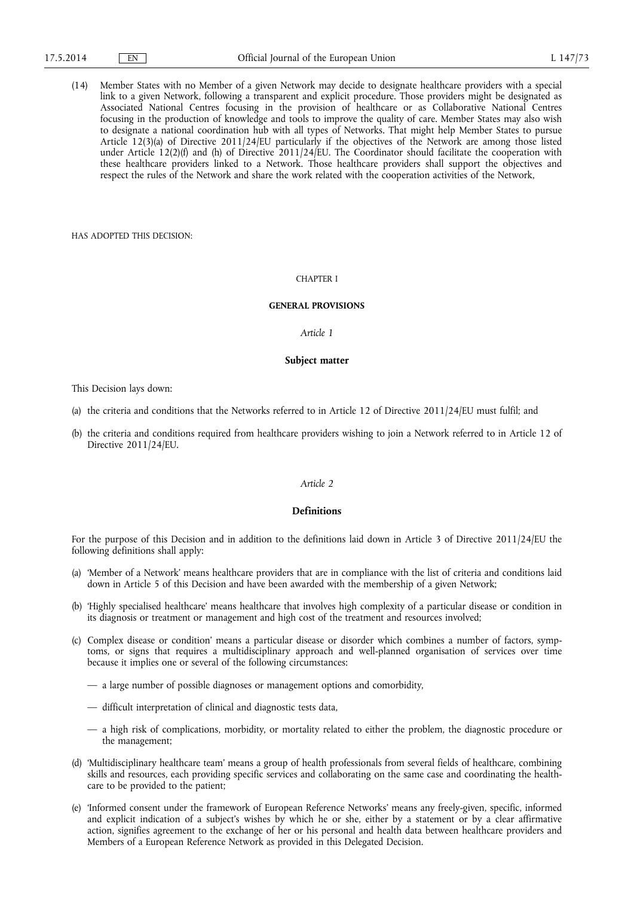(14) Member States with no Member of a given Network may decide to designate healthcare providers with a special link to a given Network, following a transparent and explicit procedure. Those providers might be designated as Associated National Centres focusing in the provision of healthcare or as Collaborative National Centres focusing in the production of knowledge and tools to improve the quality of care. Member States may also wish to designate a national coordination hub with all types of Networks. That might help Member States to pursue Article 12(3)(a) of Directive 2011/24/EU particularly if the objectives of the Network are among those listed under Article 12(2)(f) and (h) of Directive 2011/24/EU. The Coordinator should facilitate the cooperation with these healthcare providers linked to a Network. Those healthcare providers shall support the objectives and respect the rules of the Network and share the work related with the cooperation activities of the Network,

HAS ADOPTED THIS DECISION:

## CHAPTER I

### **GENERAL PROVISIONS**

#### *Article 1*

#### **Subject matter**

This Decision lays down:

- (a) the criteria and conditions that the Networks referred to in Article 12 of Directive 2011/24/EU must fulfil; and
- (b) the criteria and conditions required from healthcare providers wishing to join a Network referred to in Article 12 of Directive 2011/24/EU.

#### *Article 2*

# **Definitions**

For the purpose of this Decision and in addition to the definitions laid down in Article 3 of Directive 2011/24/EU the following definitions shall apply:

- (a) 'Member of a Network' means healthcare providers that are in compliance with the list of criteria and conditions laid down in Article 5 of this Decision and have been awarded with the membership of a given Network;
- (b) 'Highly specialised healthcare' means healthcare that involves high complexity of a particular disease or condition in its diagnosis or treatment or management and high cost of the treatment and resources involved;
- (c) Complex disease or condition' means a particular disease or disorder which combines a number of factors, symptoms, or signs that requires a multidisciplinary approach and well-planned organisation of services over time because it implies one or several of the following circumstances:
	- a large number of possible diagnoses or management options and comorbidity,
	- difficult interpretation of clinical and diagnostic tests data,
	- a high risk of complications, morbidity, or mortality related to either the problem, the diagnostic procedure or the management;
- (d) 'Multidisciplinary healthcare team' means a group of health professionals from several fields of healthcare, combining skills and resources, each providing specific services and collaborating on the same case and coordinating the healthcare to be provided to the patient;
- (e) 'Informed consent under the framework of European Reference Networks' means any freely-given, specific, informed and explicit indication of a subject's wishes by which he or she, either by a statement or by a clear affirmative action, signifies agreement to the exchange of her or his personal and health data between healthcare providers and Members of a European Reference Network as provided in this Delegated Decision.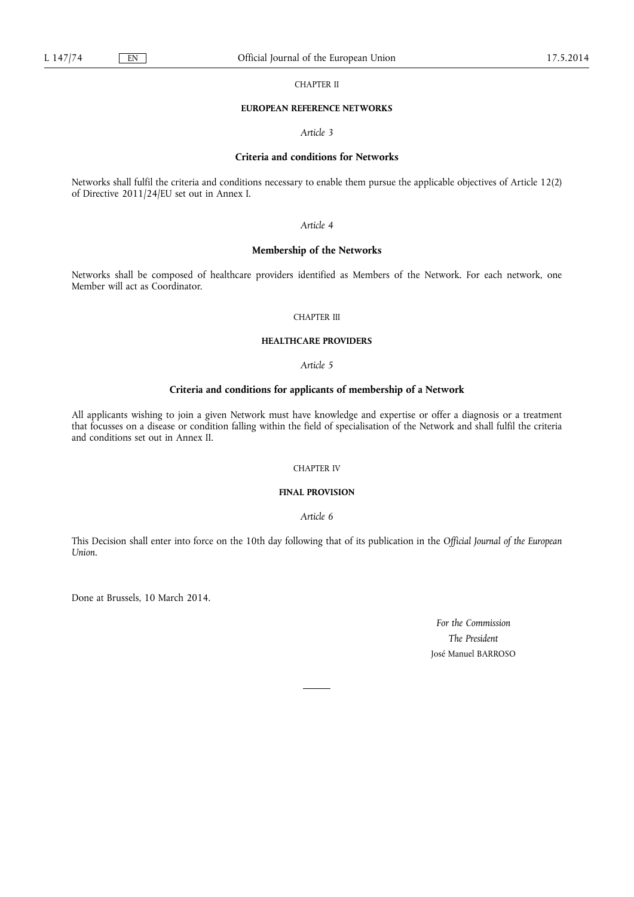CHAPTER II

#### **EUROPEAN REFERENCE NETWORKS**

*Article 3* 

# **Criteria and conditions for Networks**

Networks shall fulfil the criteria and conditions necessary to enable them pursue the applicable objectives of Article 12(2) of Directive 2011/24/EU set out in Annex I.

## *Article 4*

# **Membership of the Networks**

Networks shall be composed of healthcare providers identified as Members of the Network. For each network, one Member will act as Coordinator.

### CHAPTER III

### **HEALTHCARE PROVIDERS**

*Article 5* 

# **Criteria and conditions for applicants of membership of a Network**

All applicants wishing to join a given Network must have knowledge and expertise or offer a diagnosis or a treatment that focusses on a disease or condition falling within the field of specialisation of the Network and shall fulfil the criteria and conditions set out in Annex II.

## CHAPTER IV

# **FINAL PROVISION**

*Article 6* 

This Decision shall enter into force on the 10th day following that of its publication in the *Official Journal of the European Union*.

Done at Brussels, 10 March 2014.

*For the Commission The President*  José Manuel BARROSO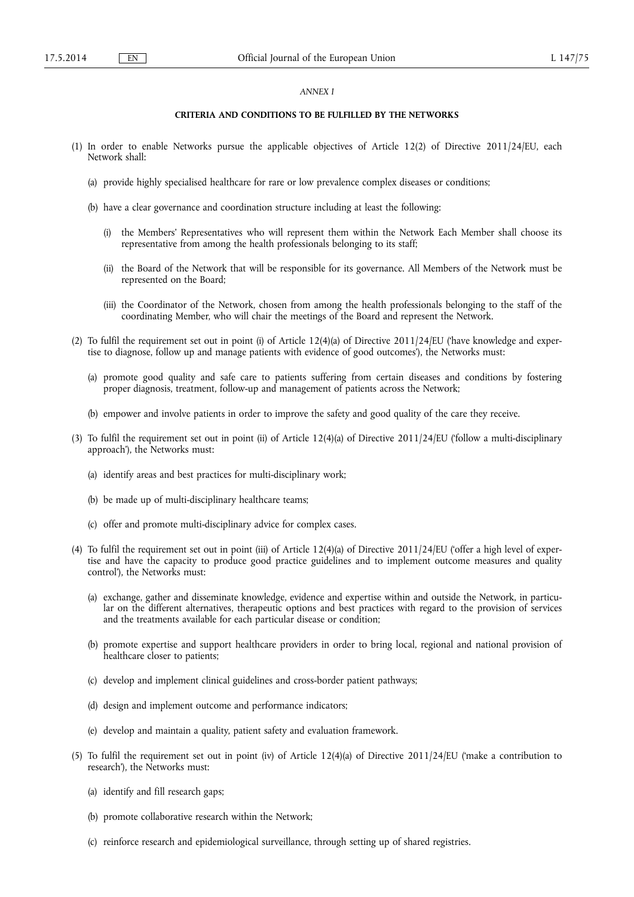### *ANNEX I*

# **CRITERIA AND CONDITIONS TO BE FULFILLED BY THE NETWORKS**

- (1) In order to enable Networks pursue the applicable objectives of Article 12(2) of Directive 2011/24/EU, each Network shall:
	- (a) provide highly specialised healthcare for rare or low prevalence complex diseases or conditions;
	- (b) have a clear governance and coordination structure including at least the following:
		- (i) the Members' Representatives who will represent them within the Network Each Member shall choose its representative from among the health professionals belonging to its staff;
		- (ii) the Board of the Network that will be responsible for its governance. All Members of the Network must be represented on the Board;
		- (iii) the Coordinator of the Network, chosen from among the health professionals belonging to the staff of the coordinating Member, who will chair the meetings of the Board and represent the Network.
- (2) To fulfil the requirement set out in point (i) of Article  $12(4)(a)$  of Directive  $2011/24/EU$  (have knowledge and expertise to diagnose, follow up and manage patients with evidence of good outcomes'), the Networks must:
	- (a) promote good quality and safe care to patients suffering from certain diseases and conditions by fostering proper diagnosis, treatment, follow-up and management of patients across the Network;
	- (b) empower and involve patients in order to improve the safety and good quality of the care they receive.
- (3) To fulfil the requirement set out in point (ii) of Article 12(4)(a) of Directive 2011/24/EU ('follow a multi-disciplinary approach'), the Networks must:
	- (a) identify areas and best practices for multi-disciplinary work;
	- (b) be made up of multi-disciplinary healthcare teams;
	- (c) offer and promote multi-disciplinary advice for complex cases.
- (4) To fulfil the requirement set out in point (iii) of Article 12(4)(a) of Directive 2011/24/EU ('offer a high level of expertise and have the capacity to produce good practice guidelines and to implement outcome measures and quality control'), the Networks must:
	- (a) exchange, gather and disseminate knowledge, evidence and expertise within and outside the Network, in particular on the different alternatives, therapeutic options and best practices with regard to the provision of services and the treatments available for each particular disease or condition;
	- (b) promote expertise and support healthcare providers in order to bring local, regional and national provision of healthcare closer to patients;
	- (c) develop and implement clinical guidelines and cross-border patient pathways;
	- (d) design and implement outcome and performance indicators;
	- (e) develop and maintain a quality, patient safety and evaluation framework.
- (5) To fulfil the requirement set out in point (iv) of Article 12(4)(a) of Directive 2011/24/EU ('make a contribution to research'), the Networks must:
	- (a) identify and fill research gaps;
	- (b) promote collaborative research within the Network;
	- (c) reinforce research and epidemiological surveillance, through setting up of shared registries.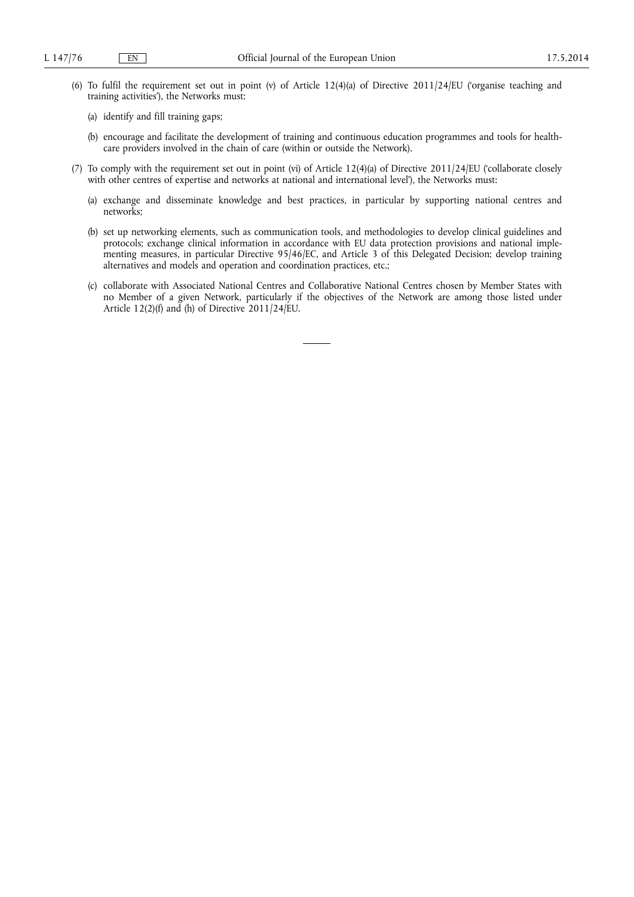- (6) To fulfil the requirement set out in point (v) of Article 12(4)(a) of Directive 2011/24/EU ('organise teaching and training activities'), the Networks must:
	- (a) identify and fill training gaps;
	- (b) encourage and facilitate the development of training and continuous education programmes and tools for healthcare providers involved in the chain of care (within or outside the Network).
- (7) To comply with the requirement set out in point (vi) of Article 12(4)(a) of Directive 2011/24/EU ('collaborate closely with other centres of expertise and networks at national and international level'), the Networks must:
	- (a) exchange and disseminate knowledge and best practices, in particular by supporting national centres and networks;
	- (b) set up networking elements, such as communication tools, and methodologies to develop clinical guidelines and protocols; exchange clinical information in accordance with EU data protection provisions and national implementing measures, in particular Directive 95/46/EC, and Article 3 of this Delegated Decision; develop training alternatives and models and operation and coordination practices, etc.;
	- (c) collaborate with Associated National Centres and Collaborative National Centres chosen by Member States with no Member of a given Network, particularly if the objectives of the Network are among those listed under Article 12(2)(f) and (h) of Directive 2011/24/EU.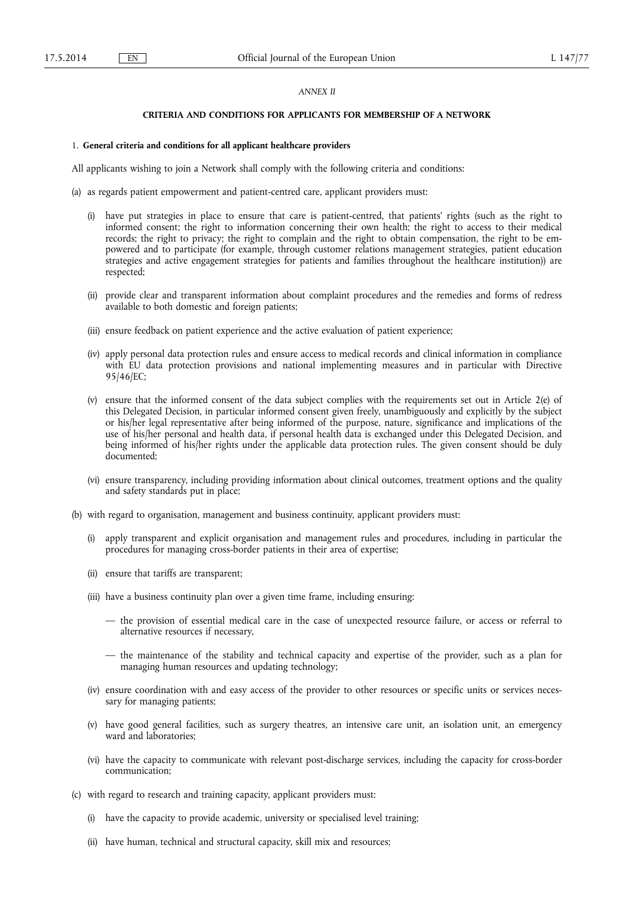## *ANNEX II*

## **CRITERIA AND CONDITIONS FOR APPLICANTS FOR MEMBERSHIP OF A NETWORK**

#### 1. **General criteria and conditions for all applicant healthcare providers**

All applicants wishing to join a Network shall comply with the following criteria and conditions:

- (a) as regards patient empowerment and patient-centred care, applicant providers must:
	- (i) have put strategies in place to ensure that care is patient-centred, that patients' rights (such as the right to informed consent; the right to information concerning their own health; the right to access to their medical records; the right to privacy; the right to complain and the right to obtain compensation, the right to be empowered and to participate (for example, through customer relations management strategies, patient education strategies and active engagement strategies for patients and families throughout the healthcare institution)) are respected;
	- (ii) provide clear and transparent information about complaint procedures and the remedies and forms of redress available to both domestic and foreign patients;
	- (iii) ensure feedback on patient experience and the active evaluation of patient experience;
	- (iv) apply personal data protection rules and ensure access to medical records and clinical information in compliance with EU data protection provisions and national implementing measures and in particular with Directive 95/46/EC;
	- (v) ensure that the informed consent of the data subject complies with the requirements set out in Article 2(e) of this Delegated Decision, in particular informed consent given freely, unambiguously and explicitly by the subject or his/her legal representative after being informed of the purpose, nature, significance and implications of the use of his/her personal and health data, if personal health data is exchanged under this Delegated Decision, and being informed of his/her rights under the applicable data protection rules. The given consent should be duly documented;
	- (vi) ensure transparency, including providing information about clinical outcomes, treatment options and the quality and safety standards put in place;
- (b) with regard to organisation, management and business continuity, applicant providers must:
	- (i) apply transparent and explicit organisation and management rules and procedures, including in particular the procedures for managing cross-border patients in their area of expertise;
	- (ii) ensure that tariffs are transparent;
	- (iii) have a business continuity plan over a given time frame, including ensuring:
		- the provision of essential medical care in the case of unexpected resource failure, or access or referral to alternative resources if necessary,
		- the maintenance of the stability and technical capacity and expertise of the provider, such as a plan for managing human resources and updating technology;
	- (iv) ensure coordination with and easy access of the provider to other resources or specific units or services necessary for managing patients;
	- (v) have good general facilities, such as surgery theatres, an intensive care unit, an isolation unit, an emergency ward and laboratories;
	- (vi) have the capacity to communicate with relevant post-discharge services, including the capacity for cross-border communication;
- (c) with regard to research and training capacity, applicant providers must:
	- (i) have the capacity to provide academic, university or specialised level training;
	- (ii) have human, technical and structural capacity, skill mix and resources;